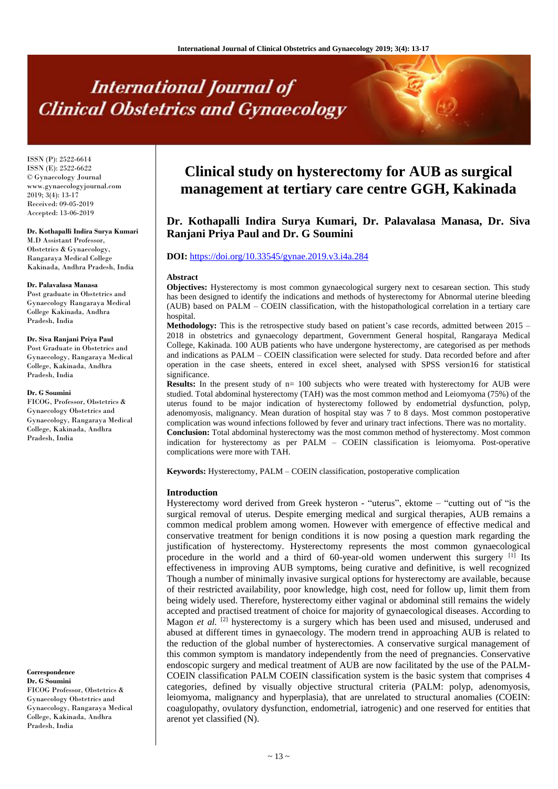# **International Journal of Clinical Obstetrics and Gynaecology**

ISSN (P): 2522-6614 ISSN (E): 2522-6622 © Gynaecology Journal www.gynaecologyjournal.com 2019; 3(4): 13-17 Received: 09-05-2019 Accepted: 13-06-2019

#### **Dr. Kothapalli Indira Surya Kumari**

M.D Assistant Professor, Obstetrics & Gynaecology, Rangaraya Medical College Kakinada, Andhra Pradesh, India

#### **Dr. Palavalasa Manasa**

Post graduate in Obstetrics and Gynaecology Rangaraya Medical College Kakinada, Andhra Pradesh, India

#### **Dr. Siva Ranjani Priya Paul**

Post Graduate in Obstetrics and Gynaecology, Rangaraya Medical College, Kakinada, Andhra Pradesh, India

#### **Dr. G Soumini**

FICOG, Professor, Obstetrics & Gynaecology Obstetrics and Gynaecology, Rangaraya Medical College, Kakinada, Andhra Pradesh, India

#### **Correspondence**

**Dr. G Soumini** FICOG Professor, Obstetrics & Gynaecology Obstetrics and Gynaecology, Rangaraya Medical College, Kakinada, Andhra Pradesh, India

## **Clinical study on hysterectomy for AUB as surgical management at tertiary care centre GGH, Kakinada**

### **Dr. Kothapalli Indira Surya Kumari, Dr. Palavalasa Manasa, Dr. Siva Ranjani Priya Paul and Dr. G Soumini**

#### **DOI:** <https://doi.org/10.33545/gynae.2019.v3.i4a.284>

#### **Abstract**

**Objectives:** Hysterectomy is most common gynaecological surgery next to cesarean section. This study has been designed to identify the indications and methods of hysterectomy for Abnormal uterine bleeding (AUB) based on PALM – COEIN classification, with the histopathological correlation in a tertiary care hospital.

**Methodology:** This is the retrospective study based on patient's case records, admitted between 2015 – 2018 in obstetrics and gynaecology department, Government General hospital, Rangaraya Medical College, Kakinada. 100 AUB patients who have undergone hysterectomy, are categorised as per methods and indications as PALM – COEIN classification were selected for study. Data recorded before and after operation in the case sheets, entered in excel sheet, analysed with SPSS version16 for statistical significance.

**Results:** In the present study of  $n= 100$  subjects who were treated with hysterectomy for AUB were studied. Total abdominal hysterectomy (TAH) was the most common method and Leiomyoma (75%) of the uterus found to be major indication of hysterectomy followed by endometrial dysfunction, polyp, adenomyosis, malignancy. Mean duration of hospital stay was 7 to 8 days. Most common postoperative complication was wound infections followed by fever and urinary tract infections. There was no mortality. **Conclusion:** Total abdominal hysterectomy was the most common method of hysterectomy. Most common indication for hysterectomy as per PALM – COEIN classification is leiomyoma. Post-operative complications were more with TAH.

**Keywords:** Hysterectomy, PALM – COEIN classification, postoperative complication

#### **Introduction**

Hysterectomy word derived from Greek hysteron - "uterus", ektome – "cutting out of "is the surgical removal of uterus. Despite emerging medical and surgical therapies, AUB remains a common medical problem among women. However with emergence of effective medical and conservative treatment for benign conditions it is now posing a question mark regarding the justification of hysterectomy. Hysterectomy represents the most common gynaecological procedure in the world and a third of 60-year-old women underwent this surgery  $[1]$  Its effectiveness in improving AUB symptoms, being curative and definitive, is well recognized Though a number of minimally invasive surgical options for hysterectomy are available, because of their restricted availability, poor knowledge, high cost, need for follow up, limit them from being widely used. Therefore, hysterectomy either vaginal or abdominal still remains the widely accepted and practised treatment of choice for majority of gynaecological diseases. According to Magon *et al.* <sup>[2]</sup> hysterectomy is a surgery which has been used and misused, underused and abused at different times in gynaecology. The modern trend in approaching AUB is related to the reduction of the global number of hysterectomies. A conservative surgical management of this common symptom is mandatory independently from the need of pregnancies. Conservative endoscopic surgery and medical treatment of AUB are now facilitated by the use of the PALM-COEIN classification PALM COEIN classification system is the basic system that comprises 4 categories, defined by visually objective structural criteria (PALM: polyp, adenomyosis, leiomyoma, malignancy and hyperplasia), that are unrelated to structural anomalies (COEIN: coagulopathy, ovulatory dysfunction, endometrial, iatrogenic) and one reserved for entities that arenot yet classified (N).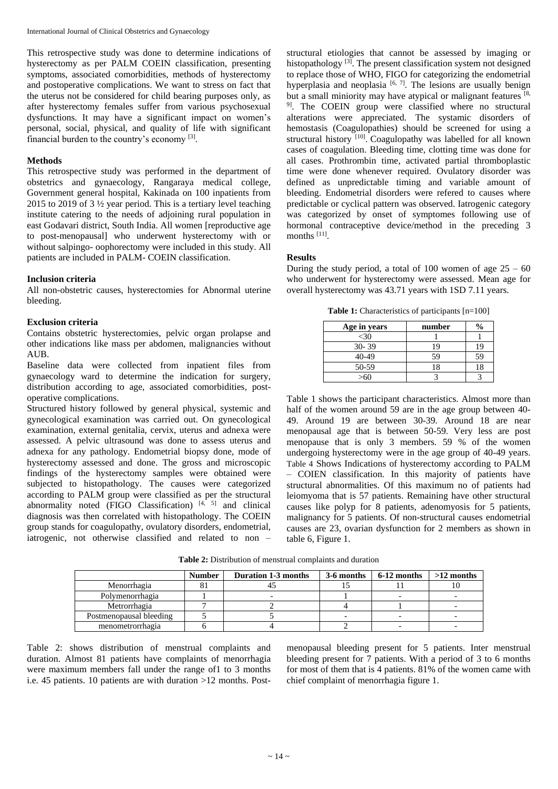This retrospective study was done to determine indications of hysterectomy as per PALM COEIN classification, presenting symptoms, associated comorbidities, methods of hysterectomy and postoperative complications. We want to stress on fact that the uterus not be considered for child bearing purposes only, as after hysterectomy females suffer from various psychosexual dysfunctions. It may have a significant impact on women's personal, social, physical, and quality of life with significant financial burden to the country's economy [3].

#### **Methods**

This retrospective study was performed in the department of obstetrics and gynaecology, Rangaraya medical college, Government general hospital, Kakinada on 100 inpatients from 2015 to 2019 of 3 ½ year period. This is a tertiary level teaching institute catering to the needs of adjoining rural population in east Godavari district, South India. All women [reproductive age to post-menopausal] who underwent hysterectomy with or without salpingo- oophorectomy were included in this study. All patients are included in PALM- COEIN classification.

#### **Inclusion criteria**

All non-obstetric causes, hysterectomies for Abnormal uterine bleeding.

#### **Exclusion criteria**

Contains obstetric hysterectomies, pelvic organ prolapse and other indications like mass per abdomen, malignancies without AUB.

Baseline data were collected from inpatient files from gynaecology ward to determine the indication for surgery, distribution according to age, associated comorbidities, postoperative complications.

Structured history followed by general physical, systemic and gynecological examination was carried out. On gynecological examination, external genitalia, cervix, uterus and adnexa were assessed. A pelvic ultrasound was done to assess uterus and adnexa for any pathology. Endometrial biopsy done, mode of hysterectomy assessed and done. The gross and microscopic findings of the hysterectomy samples were obtained were subjected to histopathology. The causes were categorized according to PALM group were classified as per the structural abnormality noted (FIGO Classification)  $[4, 5]$  and clinical diagnosis was then correlated with histopathology. The COEIN group stands for coagulopathy, ovulatory disorders, endometrial, iatrogenic, not otherwise classified and related to non –

structural etiologies that cannot be assessed by imaging or histopathology<sup>[3]</sup>. The present classification system not designed to replace those of WHO, FIGO for categorizing the endometrial hyperplasia and neoplasia  $[6, 7]$ . The lesions are usually benign but a small miniority may have atypical or malignant features  $[8, 8]$ <sup>9]</sup>. The COEIN group were classified where no structural alterations were appreciated. The systamic disorders of hemostasis (Coagulopathies) should be screened for using a structural history <a>[10]</a>. Coagulopathy was labelled for all known cases of coagulation. Bleeding time, clotting time was done for all cases. Prothrombin time, activated partial thromboplastic time were done whenever required. Ovulatory disorder was defined as unpredictable timing and variable amount of bleeding. Endometrial disorders were refered to causes where predictable or cyclical pattern was observed. Iatrogenic category was categorized by onset of symptomes following use of hormonal contraceptive device/method in the preceding 3 months [11].

#### **Results**

During the study period, a total of 100 women of age  $25 - 60$ who underwent for hysterectomy were assessed. Mean age for overall hysterectomy was 43.71 years with 1SD 7.11 years.

**Table 1:** Characteristics of participants [n=100]

| Age in years | number |    |
|--------------|--------|----|
| <30          |        |    |
| $30 - 39$    | 19     | 19 |
| 40-49        | 59     | 59 |
| 50-59        | 18     | 18 |
|              |        |    |

Table 1 shows the participant characteristics. Almost more than half of the women around 59 are in the age group between 40- 49. Around 19 are between 30-39. Around 18 are near menopausal age that is between 50-59. Very less are post menopause that is only 3 members. 59  $%$  of the women undergoing hysterectomy were in the age group of 40-49 years. Table 4 Shows Indications of hysterectomy according to PALM – COIEN classification. In this majority of patients have structural abnormalities. Of this maximum no of patients had leiomyoma that is 57 patients. Remaining have other structural causes like polyp for 8 patients, adenomyosis for 5 patients, malignancy for 5 patients. Of non-structural causes endometrial causes are 23, ovarian dysfunction for 2 members as shown in table 6, Figure 1.

|                         | <b>Number</b> | Duration 1-3 months | 3-6 months | 6-12 months | $>12$ months |
|-------------------------|---------------|---------------------|------------|-------------|--------------|
| Menorrhagia             |               |                     |            |             |              |
| Polymenorrhagia         |               |                     |            |             |              |
| Metrorrhagia            |               |                     |            |             |              |
| Postmenopausal bleeding |               |                     |            |             |              |
| menometrorrhagia        |               |                     |            |             |              |

**Table 2:** Distribution of menstrual complaints and duration

Table 2: shows distribution of menstrual complaints and duration. Almost 81 patients have complaints of menorrhagia were maximum members fall under the range of1 to 3 months i.e. 45 patients. 10 patients are with duration >12 months. Postmenopausal bleeding present for 5 patients. Inter menstrual bleeding present for 7 patients. With a period of 3 to 6 months for most of them that is 4 patients. 81% of the women came with chief complaint of menorrhagia figure 1.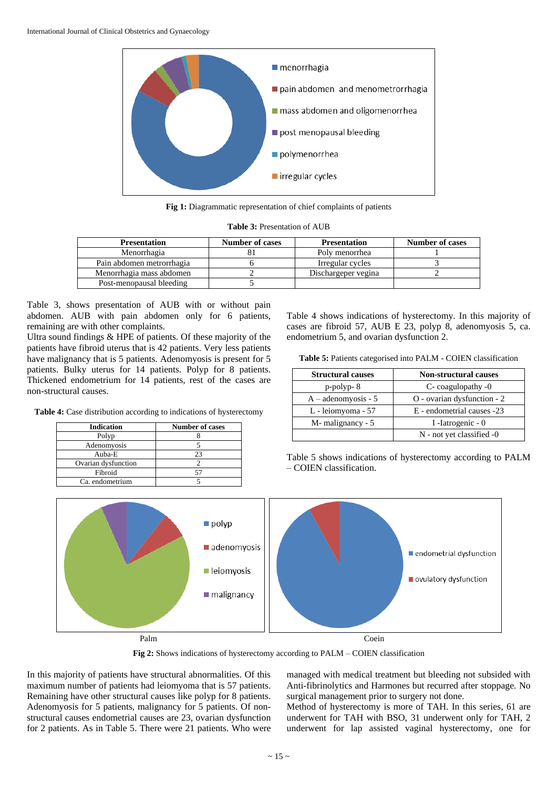

**Fig 1:** Diagrammatic representation of chief complaints of patients

|  | <b>Table 3: Presentation of AUB</b> |  |
|--|-------------------------------------|--|
|  |                                     |  |

| <b>Presentation</b>       | <b>Number of cases</b> | <b>Presentation</b> | Number of cases |
|---------------------------|------------------------|---------------------|-----------------|
| Menorrhagia               |                        | Poly menorrhea      |                 |
| Pain abdomen metrorrhagia |                        | Irregular cycles    |                 |
| Menorrhagia mass abdomen  |                        | Dischargeper vegina |                 |
| Post-menopausal bleeding  |                        |                     |                 |

Table 3, shows presentation of AUB with or without pain abdomen. AUB with pain abdomen only for 6 patients, remaining are with other complaints.

Ultra sound findings & HPE of patients. Of these majority of the patients have fibroid uterus that is 42 patients. Very less patients have malignancy that is 5 patients. Adenomyosis is present for 5 patients. Bulky uterus for 14 patients. Polyp for 8 patients. Thickened endometrium for 14 patients, rest of the cases are non-structural causes.

**Table 4:** Case distribution according to indications of hysterectomy

| <b>Indication</b>   | <b>Number of cases</b> |
|---------------------|------------------------|
| Polyp               |                        |
| Adenomyosis         |                        |
| $A$ uba-E           | つっ                     |
| Ovarian dysfunction |                        |
| Fibroid             |                        |
| Ca. endometrium     |                        |

Table 4 shows indications of hysterectomy. In this majority of cases are fibroid 57, AUB E 23, polyp 8, adenomyosis 5, ca. endometrium 5, and ovarian dysfunction 2.

|  | Table 5: Patients categorised into PALM - COIEN classification |  |  |  |
|--|----------------------------------------------------------------|--|--|--|
|  |                                                                |  |  |  |

| <b>Structural causes</b> | <b>Non-structural causes</b> |  |  |
|--------------------------|------------------------------|--|--|
| $p$ -polyp- $8$          | C-coagulopathy -0            |  |  |
| $A - adenomyosis - 5$    | O - ovarian dysfunction - 2  |  |  |
| L - leiomyoma - 57       | E - endometrial causes -23   |  |  |
| M-malignancy - 5         | I -Iatrogenic - 0            |  |  |
|                          | N - not yet classified -0    |  |  |

Table 5 shows indications of hysterectomy according to PALM – COIEN classification.



**Fig 2:** Shows indications of hysterectomy according to PALM – COIEN classification

In this majority of patients have structural abnormalities. Of this maximum number of patients had leiomyoma that is 57 patients. Remaining have other structural causes like polyp for 8 patients. Adenomyosis for 5 patients, malignancy for 5 patients. Of nonstructural causes endometrial causes are 23, ovarian dysfunction for 2 patients. As in Table 5. There were 21 patients. Who were managed with medical treatment but bleeding not subsided with Anti-fibrinolytics and Harmones but recurred after stoppage. No surgical management prior to surgery not done.

Method of hysterectomy is more of TAH. In this series, 61 are underwent for TAH with BSO, 31 underwent only for TAH, 2 underwent for lap assisted vaginal hysterectomy, one for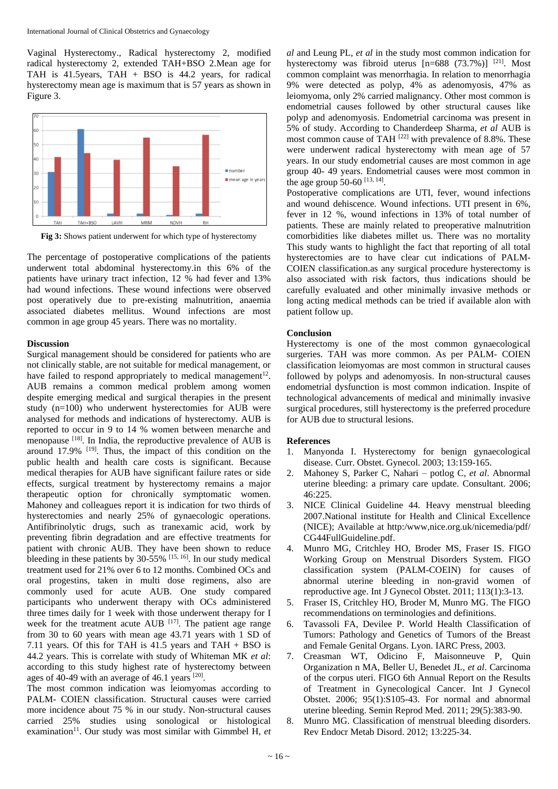Vaginal Hysterectomy., Radical hysterectomy 2, modified radical hysterectomy 2, extended TAH+BSO 2.Mean age for TAH is 41.5years, TAH + BSO is 44.2 years, for radical hysterectomy mean age is maximum that is 57 years as shown in Figure 3.



**Fig 3:** Shows patient underwent for which type of hysterectomy

The percentage of postoperative complications of the patients underwent total abdominal hysterectomy.in this 6% of the patients have urinary tract infection, 12 % had fever and 13% had wound infections. These wound infections were observed post operatively due to pre-existing malnutrition, anaemia associated diabetes mellitus. Wound infections are most common in age group 45 years. There was no mortality.

#### **Discussion**

Surgical management should be considered for patients who are not clinically stable, are not suitable for medical management, or have failed to respond appropriately to medical management<sup>12</sup>. AUB remains a common medical problem among women despite emerging medical and surgical therapies in the present study (n=100) who underwent hysterectomies for AUB were analysed for methods and indications of hysterectomy. AUB is reported to occur in 9 to 14 % women between menarche and menopause <sup>[18]</sup>. In India, the reproductive prevalence of AUB is around  $17.9\%$  <sup>[19]</sup>. Thus, the impact of this condition on the public health and health care costs is significant. Because medical therapies for AUB have significant failure rates or side effects, surgical treatment by hysterectomy remains a major therapeutic option for chronically symptomatic women. Mahoney and colleagues report it is indication for two thirds of hysterectomies and nearly 25% of gynaecologic operations. Antifibrinolytic drugs, such as tranexamic acid, work by preventing fibrin degradation and are effective treatments for patient with chronic AUB. They have been shown to reduce bleeding in these patients by  $30-55\%$  <sup>[15, 16]</sup>. In our study medical treatment used for 21% over 6 to 12 months. Combined OCs and oral progestins, taken in multi dose regimens, also are commonly used for acute AUB. One study compared participants who underwent therapy with OCs administered three times daily for 1 week with those underwent therapy for I week for the treatment acute  $AUB$ <sup>[17]</sup>. The patient age range from 30 to 60 years with mean age 43.71 years with 1 SD of 7.11 years. Of this for TAH is 41.5 years and TAH + BSO is 44.2 years. This is correlate with study of Whiteman MK *et al*: according to this study highest rate of hysterectomy between ages of 40-49 with an average of 46.1 years <sup>[20]</sup>.

The most common indication was leiomyomas according to PALM- COIEN classification. Structural causes were carried more incidence about 75 % in our study. Non-structural causes carried 25% studies using sonological or histological examination<sup>11</sup>. Our study was most similar with Gimmbel H, et

*al* and Leung PL, *et al* in the study most common indication for hysterectomy was fibroid uterus  $[n=688 (73.7%)]$ <sup>[21]</sup>. Most common complaint was menorrhagia. In relation to menorrhagia 9% were detected as polyp, 4% as adenomyosis, 47% as leiomyoma, only 2% carried malignancy. Other most common is endometrial causes followed by other structural causes like polyp and adenomyosis. Endometrial carcinoma was present in 5% of study. According to Chanderdeep Sharma, *et al* AUB is most common cause of TAH<sup>[22]</sup> with prevalence of 8.8%. These were underwent radical hysterectomy with mean age of 57 years. In our study endometrial causes are most common in age group 40- 49 years. Endometrial causes were most common in the age group 50-60  $^{[13, 14]}$ .

Postoperative complications are UTI, fever, wound infections and wound dehiscence. Wound infections. UTI present in 6%, fever in 12 %, wound infections in 13% of total number of patients. These are mainly related to preoperative malnutrition comorbidities like diabetes millet us. There was no mortality This study wants to highlight the fact that reporting of all total hysterectomies are to have clear cut indications of PALM-COIEN classification.as any surgical procedure hysterectomy is also associated with risk factors, thus indications should be carefully evaluated and other minimally invasive methods or long acting medical methods can be tried if available alon with patient follow up.

#### **Conclusion**

Hysterectomy is one of the most common gynaecological surgeries. TAH was more common. As per PALM- COIEN classification leiomyomas are most common in structural causes followed by polyps and adenomyosis. In non-structural causes endometrial dysfunction is most common indication. Inspite of technological advancements of medical and minimally invasive surgical procedures, still hysterectomy is the preferred procedure for AUB due to structural lesions.

#### **References**

- 1. Manyonda I. Hysterectomy for benign gynaecological disease. Curr. Obstet. Gynecol. 2003; 13:159-165.
- 2. Mahoney S, Parker C, Nahari potlog C, *et al*. Abnormal uterine bleeding: a primary care update. Consultant. 2006; 46:225.
- 3. NICE Clinical Guideline 44. Heavy menstrual bleeding 2007.National institute for Health and Clinical Excellence (NICE); Available at http:/www,nice.org.uk/nicemedia/pdf/ CG44FullGuideline.pdf.
- 4. Munro MG, Critchley HO, Broder MS, Fraser IS. FIGO Working Group on Menstrual Disorders System. FIGO classification system (PALM-COEIN) for causes of abnormal uterine bleeding in non-gravid women of reproductive age. Int J Gynecol Obstet. 2011; 113(1):3-13.
- 5. Fraser IS, Critchley HO, Broder M, Munro MG. The FIGO recommendations on terminologies and definitions.
- 6. Tavassoli FA, Devilee P. World Health Classification of Tumors: Pathology and Genetics of Tumors of the Breast and Female Genital Organs. Lyon. IARC Press, 2003.
- 7. Creasman WT, Odicino F, Maisonneuve P, Quin Organization n MA, Beller U, Benedet JL, *et al*. Carcinoma of the corpus uteri. FIGO 6th Annual Report on the Results of Treatment in Gynecological Cancer. Int J Gynecol Obstet. 2006; 95(1):S105-43. For normal and abnormal uterine bleeding. Semin Reprod Med. 2011; 29(5):383-90.
- 8. Munro MG. Classification of menstrual bleeding disorders. Rev Endocr Metab Disord. 2012; 13:225-34.